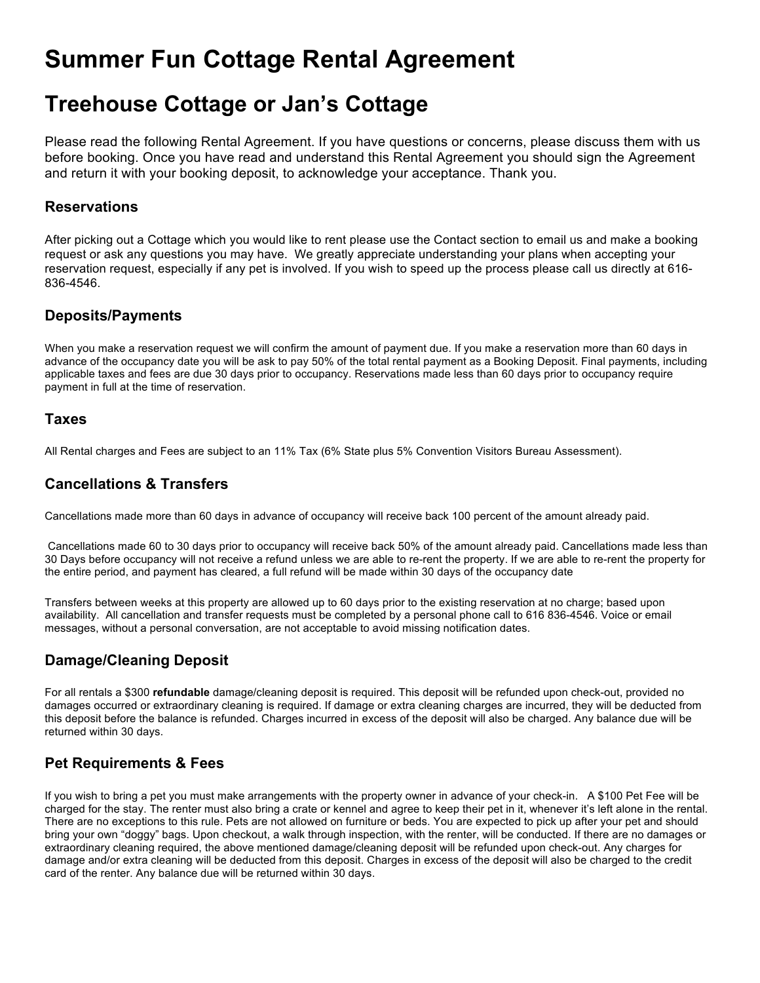# **Summer Fun Cottage Rental Agreement**

# **Treehouse Cottage or Jan's Cottage**

Please read the following Rental Agreement. If you have questions or concerns, please discuss them with us before booking. Once you have read and understand this Rental Agreement you should sign the Agreement and return it with your booking deposit, to acknowledge your acceptance. Thank you.

#### **Reservations**

After picking out a Cottage which you would like to rent please use the Contact section to email us and make a booking request or ask any questions you may have. We greatly appreciate understanding your plans when accepting your reservation request, especially if any pet is involved. If you wish to speed up the process please call us directly at 616- 836-4546.

# **Deposits/Payments**

When you make a reservation request we will confirm the amount of payment due. If you make a reservation more than 60 days in advance of the occupancy date you will be ask to pay 50% of the total rental payment as a Booking Deposit. Final payments, including applicable taxes and fees are due 30 days prior to occupancy. Reservations made less than 60 days prior to occupancy require payment in full at the time of reservation.

#### **Taxes**

All Rental charges and Fees are subject to an 11% Tax (6% State plus 5% Convention Visitors Bureau Assessment).

# **Cancellations & Transfers**

Cancellations made more than 60 days in advance of occupancy will receive back 100 percent of the amount already paid.

 Cancellations made 60 to 30 days prior to occupancy will receive back 50% of the amount already paid. Cancellations made less than 30 Days before occupancy will not receive a refund unless we are able to re-rent the property. If we are able to re-rent the property for the entire period, and payment has cleared, a full refund will be made within 30 days of the occupancy date

Transfers between weeks at this property are allowed up to 60 days prior to the existing reservation at no charge; based upon availability. All cancellation and transfer requests must be completed by a personal phone call to 616 836-4546. Voice or email messages, without a personal conversation, are not acceptable to avoid missing notification dates.

# **Damage/Cleaning Deposit**

For all rentals a \$300 **refundable** damage/cleaning deposit is required. This deposit will be refunded upon check-out, provided no damages occurred or extraordinary cleaning is required. If damage or extra cleaning charges are incurred, they will be deducted from this deposit before the balance is refunded. Charges incurred in excess of the deposit will also be charged. Any balance due will be returned within 30 days.

# **Pet Requirements & Fees**

If you wish to bring a pet you must make arrangements with the property owner in advance of your check-in. A \$100 Pet Fee will be charged for the stay. The renter must also bring a crate or kennel and agree to keep their pet in it, whenever it's left alone in the rental. There are no exceptions to this rule. Pets are not allowed on furniture or beds. You are expected to pick up after your pet and should bring your own "doggy" bags. Upon checkout, a walk through inspection, with the renter, will be conducted. If there are no damages or extraordinary cleaning required, the above mentioned damage/cleaning deposit will be refunded upon check-out. Any charges for damage and/or extra cleaning will be deducted from this deposit. Charges in excess of the deposit will also be charged to the credit card of the renter. Any balance due will be returned within 30 days.